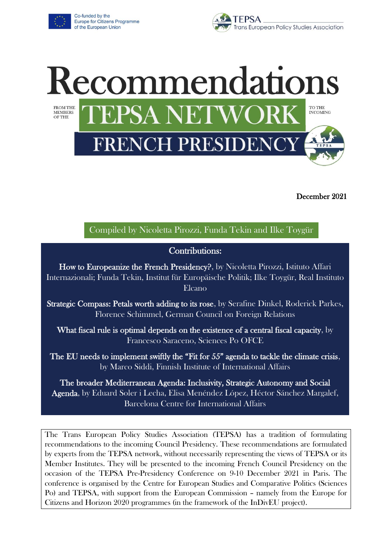

Co-funded by the Europe for Citizens Programme of the European Union





December 2021

### Compiled by Nicoletta Pirozzi, Funda Tekin and Ilke Toygür

### Contributions:

How to Europeanize the French Presidency?, by Nicoletta Pirozzi, Istituto Affari Internazionali; Funda Tekin, Institut für Europäische Politik; Ilke Toygür, Real Instituto Elcano

Strategic Compass: Petals worth adding to its rose, by Serafine Dinkel, Roderick Parkes, Florence Schimmel, German Council on Foreign Relations

What fiscal rule is optimal depends on the existence of a central fiscal capacity, by Francesco Saraceno, Sciences Po OFCE

The EU needs to implement swiftly the "Fit for 55" agenda to tackle the climate crisis, by Marco Siddi, Finnish Institute of International Affairs

The broader Mediterranean Agenda: Inclusivity, Strategic Autonomy and Social Agenda, by Eduard Soler i Lecha, Elisa Menéndez López, Héctor Sánchez Margalef, Barcelona Centre for International Affairs

The Trans European Policy Studies Association (TEPSA) has a tradition of formulating recommendations to the incoming Council Presidency. These recommendations are formulated by experts from the TEPSA network, without necessarily representing the views of TEPSA or its Member Institutes. They will be presented to the incoming French Council Presidency on the occasion of the TEPSA Pre-Presidency Conference on 9-10 December 2021 in Paris. The conference is organised by the Centre for European Studies and Comparative Politics (Sciences Po) and TEPSA, with support from the European Commission – namely from the Europe for Citizens and Horizon 2020 programmes (in the framework of the InDivEU project).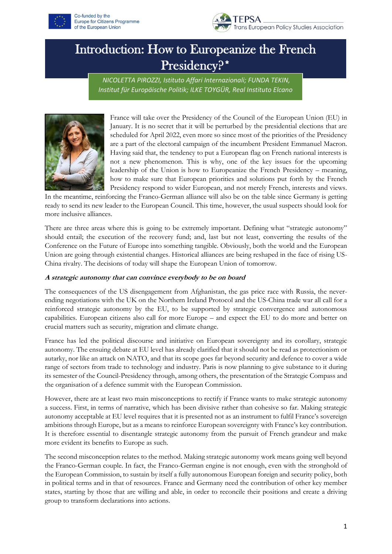



## Introduction: How to Europeanize the French Presidency?\*

*NICOLETTA PIROZZI, Istituto Affari Internazionali; FUNDA TEKIN, Institut für Europäische Politik; ILKE TOYGÜR, Real Instituto Elcano*



France will take over the Presidency of the Council of the European Union (EU) in January. It is no secret that it will be perturbed by the presidential elections that are scheduled for April 2022, even more so since most of the priorities of the Presidency are a part of the electoral campaign of the incumbent President Emmanuel Macron. Having said that, the tendency to put a European flag on French national interests is not a new phenomenon. This is why, one of the key issues for the upcoming leadership of the Union is how to Europeanize the French Presidency – meaning, how to make sure that European priorities and solutions put forth by the French Presidency respond to wider European, and not merely French, interests and views.

In the meantime, reinforcing the Franco-German alliance will also be on the table since Germany is getting ready to send its new leader to the European Council. This time, however, the usual suspects should look for more inclusive alliances.

There are three areas where this is going to be extremely important. Defining what "strategic autonomy" should entail; the execution of the recovery fund; and, last but not least, converting the results of the Conference on the Future of Europe into something tangible. Obviously, both the world and the European Union are going through existential changes. Historical alliances are being reshaped in the face of rising US-China rivalry. The decisions of today will shape the European Union of tomorrow.

#### **A strategic autonomy that can convince everybody to be on board**

The consequences of the US disengagement from Afghanistan, the gas price race with Russia, the neverending negotiations with the UK on the Northern Ireland Protocol and the US-China trade war all call for a reinforced strategic autonomy by the EU, to be supported by strategic convergence and autonomous capabilities. European citizens also call for more Europe – and expect the EU to do more and better on crucial matters such as security, migration and climate change.

France has led the political discourse and initiative on European sovereignty and its corollary, strategic autonomy. The ensuing debate at EU level has already clarified that it should not be read as protectionism or autarky, nor like an attack on NATO, and that its scope goes far beyond security and defence to cover a wide range of sectors from trade to technology and industry. Paris is now planning to give substance to it during its semester of the Council-Presidency through, among others, the presentation of the Strategic Compass and the organisation of a defence summit with the European Commission.

However, there are at least two main misconceptions to rectify if France wants to make strategic autonomy a success. First, in terms of narrative, which has been divisive rather than cohesive so far. Making strategic autonomy acceptable at EU level requires that it is presented not as an instrument to fulfil France's sovereign ambitions through Europe, but as a means to reinforce European sovereignty with France's key contribution. It is therefore essential to disentangle strategic autonomy from the pursuit of French grandeur and make more evident its benefits to Europe as such.

The second misconception relates to the method. Making strategic autonomy work means going well beyond the Franco-German couple. In fact, the Franco-German engine is not enough, even with the stronghold of the European Commission, to sustain by itself a fully autonomous European foreign and security policy, both in political terms and in that of resources. France and Germany need the contribution of other key member states, starting by those that are willing and able, in order to reconcile their positions and create a driving group to transform declarations into actions.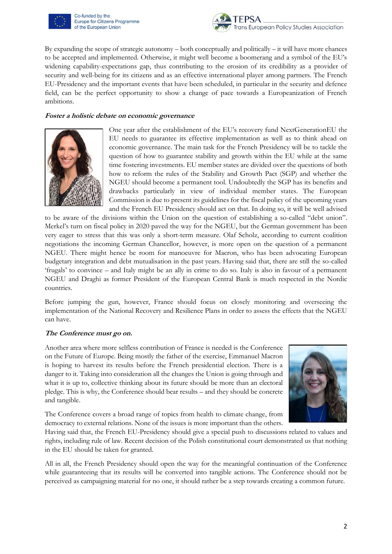

Co-funded by the Europe for Citizens Programme of the European Union



By expanding the scope of strategic autonomy – both conceptually and politically – it will have more chances to be accepted and implemented. Otherwise, it might well become a boomerang and a symbol of the EU's widening capability-expectations gap, thus contributing to the erosion of its credibility as a provider of security and well-being for its citizens and as an effective international player among partners. The French EU-Presidency and the important events that have been scheduled, in particular in the security and defence field, can be the perfect opportunity to show a change of pace towards a Europeanization of French ambitions.

#### **Foster a holistic debate on economic governance**



One year after the establishment of the EU's recovery fund NextGenerationEU the EU needs to guarantee its effective implementation as well as to think ahead on economic governance. The main task for the French Presidency will be to tackle the question of how to guarantee stability and growth within the EU while at the same time fostering investments. EU member states are divided over the questions of both how to reform the rules of the Stability and Growth Pact (SGP) and whether the NGEU should become a permanent tool. Undoubtedly the SGP has its benefits and drawbacks particularly in view of individual member states. The European Commission is due to present its guidelines for the fiscal policy of the upcoming years and the French EU Presidency should act on that. In doing so, it will be well advised

to be aware of the divisions within the Union on the question of establishing a so-called "debt union". Merkel's turn on fiscal policy in 2020 paved the way for the NGEU, but the German government has been very eager to stress that this was only a short-term measure. Olaf Scholz, according to current coalition negotiations the incoming German Chancellor, however, is more open on the question of a permanent NGEU. There might hence be room for manoeuvre for Macron, who has been advocating European budgetary integration and debt mutualisation in the past years. Having said that, there are still the so-called 'frugals' to convince – and Italy might be an ally in crime to do so. Italy is also in favour of a permanent NGEU and Draghi as former President of the European Central Bank is much respected in the Nordic countries.

Before jumping the gun, however, France should focus on closely monitoring and overseeing the implementation of the National Recovery and Resilience Plans in order to assess the effects that the NGEU can have.

#### **The Conference must go on.**

Another area where more selfless contribution of France is needed is the Conference on the Future of Europe. Being mostly the father of the exercise, Emmanuel Macron is hoping to harvest its results before the French presidential election. There is a danger to it. Taking into consideration all the changes the Union is going through and what it is up to, collective thinking about its future should be more than an electoral pledge. This is why, the Conference should bear results – and they should be concrete and tangible.



The Conference covers a broad range of topics from health to climate change, from democracy to external relations. None of the issues is more important than the others.

Having said that, the French EU-Presidency should give a special push to discussions related to values and rights, including rule of law. Recent decision of the Polish constitutional court demonstrated us that nothing in the EU should be taken for granted.

All in all, the French Presidency should open the way for the meaningful continuation of the Conference while guaranteeing that its results will be converted into tangible actions. The Conference should not be perceived as campaigning material for no one, it should rather be a step towards creating a common future.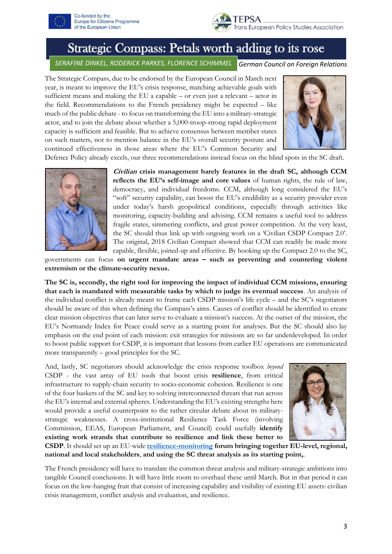



### Strategic Compass: Petals worth adding to its rose

*German Council on Foreign Relations SERAFINE DINKEL, RODERICK PARKES, FLORENCE SCHIMMEL*

The Strategic Compass, due to be endorsed by the European Council in March next year, is meant to improve the EU's crisis response, matching achievable goals with sufficient means and making the EU a capable – or even just a relevant – actor in the field. Recommendations to the French presidency might be expected – like much of the public debate - to focus on transforming the EU into a military-strategic actor, and to join the debate about whether a 5,000-troop-strong rapid deployment capacity is sufficient and feasible. But to achieve consensus between member states on such matters, not to mention balance in the EU's overall security posture and continued effectiveness in those areas where the EU's Common Security and



Defence Policy already excels, our three recommendations instead focus on the blind spots in the SC draft.



**Civilian crisis management barely features in the draft SC, although CCM reflects the EU's self-image and core values** of human rights, the rule of law, democracy, and individual freedoms. CCM, although long considered the EU's "soft" security capability, can boost the EU's credibility as a security provider even under today's harsh geopolitical conditions, especially through activities like monitoring, capacity-building and advising. CCM remains a useful tool to address fragile states, simmering conflicts, and great power competition. At the very least, the SC should thus link up with ongoing work on a 'Civilian CSDP Compact 2.0'. The original, 2018 Civilian Compact showed that CCM can readily be made more capable, flexible, joined-up and effective. By hooking up the Compact 2.0 to the SC,

governments can focus **on urgent mandate areas – such as preventing and countering violent extremism or the climate-security nexus.**

**The SC is, secondly, the right tool for improving the impact of individual CCM missions, ensuring that each is mandated with measurable tasks by which to judge its eventual success**. An analysis of the individual conflict is already meant to frame each CSDP mission's life cycle – and the SC's negotiators should be aware of this when defining the Compass's aims. Causes of conflict should be identified to create clear mission objectives that can later serve to evaluate a mission's success. At the outset of the mission, the EU's Normandy Index for Peace could serve as a starting point for analyses. But the SC should also lay emphasis on the end point of each mission: exit strategies for missions are so far underdeveloped. In order to boost public support for CSDP, it is important that lessons from earlier EU operations are communicated more transparently – good principles for the SC.

And, lastly, SC negotiators should acknowledge the crisis response toolbox *beyond* CSDP - the vast array of EU tools that boost crisis **resilience**, from critical infrastructure to supply-chain security to socio-economic cohesion. Resilience is one of the four baskets of the SC and key to solving interconnected threats that run across the EU's internal and external spheres. Understanding the EU's existing strengths here would provide a useful counterpoint to the rather circular debate about its militarystrategic weaknesses. A cross-institutional Resilience Task Force (involving Commission, EEAS, European Parliament, and Council) could usefully **identify existing work strands that contribute to resilience and link these better to** 



**CSDP**. It should set up an EU-wide **[resilience-monitoring](https://ec.europa.eu/info/sites/default/files/strategic_foresight_report_2020_1_0.pdf) forum bringing together EU-level, regional, national and local stakeholders**, **and using the SC threat analysis as its starting point,**.

The French presidency will have to translate the common threat analysis and military-strategic ambitions into tangible Council conclusions. It will have little room to overhaul these until March. But in that period it can focus on the low-hanging fruit that consist of increasing capability and visibility of existing EU assets: civilian crisis management, conflict analysis and evaluation, and resilience.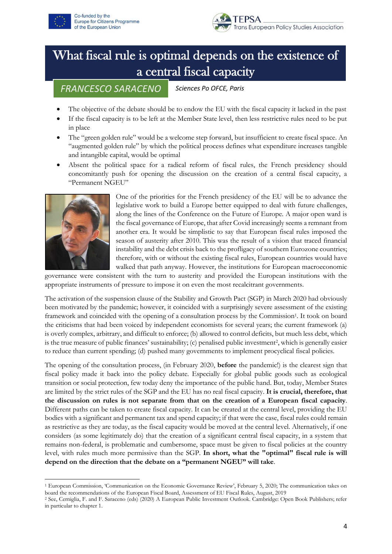



# What fiscal rule is optimal depends on the existence of a central fiscal capacity

*FRANCESCO SARACENO*

*Sciences Po OFCE, Paris*

- The objective of the debate should be to endow the EU with the fiscal capacity it lacked in the past
- If the fiscal capacity is to be left at the Member State level, then less restrictive rules need to be put in place
- The "green golden rule" would be a welcome step forward, but insufficient to create fiscal space. An "augmented golden rule" by which the political process defines what expenditure increases tangible and intangible capital, would be optimal
- Absent the political space for a radical reform of fiscal rules, the French presidency should concomitantly push for opening the discussion on the creation of a central fiscal capacity, a "Permanent NGEU"



One of the priorities for the French presidency of the EU will be to advance the legislative work to build a Europe better equipped to deal with future challenges, along the lines of the Conference on the Future of Europe. A major open ward is the fiscal governance of Europe, that after Covid increasingly seems a remnant from another era. It would be simplistic to say that European fiscal rules imposed the season of austerity after 2010. This was the result of a vision that traced financial instability and the debt crisis back to the profligacy of southern Eurozone countries; therefore, with or without the existing fiscal rules, European countries would have walked that path anyway. However, the institutions for European macroeconomic

governance were consistent with the turn to austerity and provided the European institutions with the appropriate instruments of pressure to impose it on even the most recalcitrant governments.

The activation of the suspension clause of the Stability and Growth Pact (SGP) in March 2020 had obviously been motivated by the pandemic; however, it coincided with a surprisingly severe assessment of the existing framework and coincided with the opening of a consultation process by the Commission<sup>1</sup>. It took on board the criticisms that had been voiced by independent economists for several years; the current framework (a) is overly complex, arbitrary, and difficult to enforce; (b) allowed to control deficits, but much less debt, which is the true measure of public finances' sustainability; (c) penalised public investment<sup>2</sup>, which is generally easier to reduce than current spending; (d) pushed many governments to implement procyclical fiscal policies.

The opening of the consultation process, (in February 2020, **before** the pandemic!) is the clearest sign that fiscal policy made it back into the policy debate. Especially for global public goods such as ecological transition or social protection, few today deny the importance of the public hand. But, today, Member States are limited by the strict rules of the SGP and the EU has no real fiscal capacity. **It is crucial, therefore, that the discussion on rules is not separate from that on the creation of a European fiscal capacity**. Different paths can be taken to create fiscal capacity. It can be created at the central level, providing the EU bodies with a significant and permanent tax and spend capacity; if that were the case, fiscal rules could remain as restrictive as they are today, as the fiscal capacity would be moved at the central level. Alternatively, if one considers (as some legitimately do) that the creation of a significant central fiscal capacity, in a system that remains non-federal, is problematic and cumbersome, space must be given to fiscal policies at the country level, with rules much more permissive than the SGP. **In short, what the "optimal" fiscal rule is will depend on the direction that the debate on a "permanent NGEU" will take**.

<sup>1</sup> European Commission, 'Communication on the Economic Governance Review', February 5, 2020; The communication takes on board the recommendations of the European Fiscal Board, Assessment of EU Fiscal Rules, August, 2019

<sup>2</sup> See, Cerniglia, F. and F. Saraceno (eds) (2020) A European Public Investment Outlook. Cambridge: Open Book Publishers; refer in particular to chapter 1.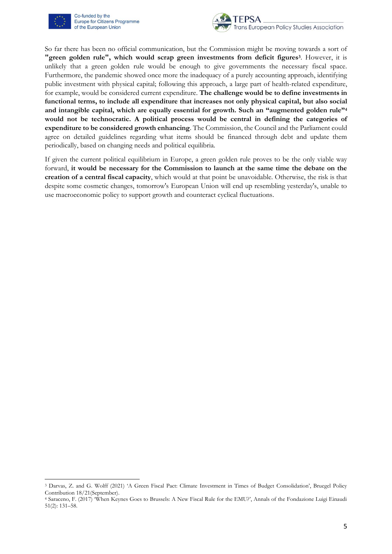

Co-funded by the Europe for Citizens Programme of the European Union



So far there has been no official communication, but the Commission might be moving towards a sort of **"green golden rule", which would scrap green investments from deficit figures<sup>3</sup>** . However, it is unlikely that a green golden rule would be enough to give governments the necessary fiscal space. Furthermore, the pandemic showed once more the inadequacy of a purely accounting approach, identifying public investment with physical capital; following this approach, a large part of health-related expenditure, for example, would be considered current expenditure. **The challenge would be to define investments in functional terms, to include all expenditure that increases not only physical capital, but also social and intangible capital, which are equally essential for growth. Such an "augmented golden rule"<sup>4</sup> would not be technocratic. A political process would be central in defining the categories of expenditure to be considered growth enhancing**. The Commission, the Council and the Parliament could agree on detailed guidelines regarding what items should be financed through debt and update them periodically, based on changing needs and political equilibria.

If given the current political equilibrium in Europe, a green golden rule proves to be the only viable way forward, **it would be necessary for the Commission to launch at the same time the debate on the creation of a central fiscal capacity**, which would at that point be unavoidable. Otherwise, the risk is that despite some cosmetic changes, tomorrow's European Union will end up resembling yesterday's, unable to use macroeconomic policy to support growth and counteract cyclical fluctuations.

<sup>3</sup> Darvas, Z. and G. Wolff (2021) 'A Green Fiscal Pact: Climate Investment in Times of Budget Consolidation', Bruegel Policy Contribution 18/21(September).

<sup>4</sup> Saraceno, F. (2017) 'When Keynes Goes to Brussels: A New Fiscal Rule for the EMU?', Annals of the Fondazione Luigi Einaudi 51(2): 131–58.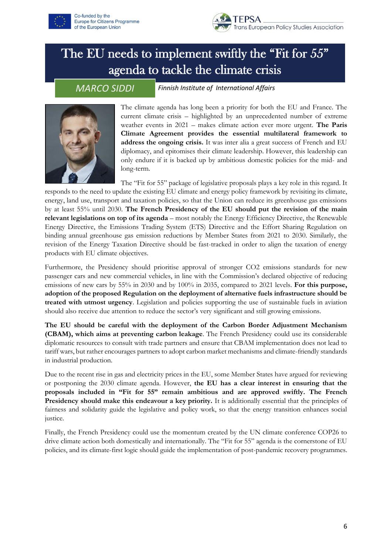



## The EU needs to implement swiftly the "Fit for 55" agenda to tackle the climate crisis

*MARCO SIDDI*

*Finnish Institute of International Affairs*



The climate agenda has long been a priority for both the EU and France. The current climate crisis – highlighted by an unprecedented number of extreme weather events in 2021 – makes climate action ever more urgent. **The Paris Climate Agreement provides the essential multilateral framework to address the ongoing crisis.** It was inter alia a great success of French and EU diplomacy, and epitomises their climate leadership. However, this leadership can only endure if it is backed up by ambitious domestic policies for the mid- and long-term.

The "Fit for 55" package of legislative proposals plays a key role in this regard. It responds to the need to update the existing EU climate and energy policy framework by revisiting its climate, energy, land use, transport and taxation policies, so that the Union can reduce its greenhouse gas emissions by at least 55% until 2030. **The French Presidency of the EU should put the revision of the main relevant legislations on top of its agenda** – most notably the Energy Efficiency Directive, the Renewable Energy Directive, the Emissions Trading System (ETS) Directive and the Effort Sharing Regulation on binding annual greenhouse gas emission reductions by Member States from 2021 to 2030. Similarly, the revision of the Energy Taxation Directive should be fast-tracked in order to align the taxation of energy products with EU climate objectives.

Furthermore, the Presidency should prioritise approval of stronger CO2 emissions standards for new passenger cars and new commercial vehicles, in line with the Commission's declared objective of reducing emissions of new cars by 55% in 2030 and by 100% in 2035, compared to 2021 levels. **For this purpose, adoption of the proposed Regulation on the deployment of alternative fuels infrastructure should be treated with utmost urgency**. Legislation and policies supporting the use of sustainable fuels in aviation should also receive due attention to reduce the sector's very significant and still growing emissions.

**The EU should be careful with the deployment of the Carbon Border Adjustment Mechanism (CBAM), which aims at preventing carbon leakage**. The French Presidency could use its considerable diplomatic resources to consult with trade partners and ensure that CBAM implementation does not lead to tariff wars, but rather encourages partners to adopt carbon market mechanisms and climate-friendly standards in industrial production.

Due to the recent rise in gas and electricity prices in the EU, some Member States have argued for reviewing or postponing the 2030 climate agenda. However, **the EU has a clear interest in ensuring that the proposals included in "Fit for 55" remain ambitious and are approved swiftly. The French Presidency should make this endeavour a key priority.** It is additionally essential that the principles of fairness and solidarity guide the legislative and policy work, so that the energy transition enhances social justice.

Finally, the French Presidency could use the momentum created by the UN climate conference COP26 to drive climate action both domestically and internationally. The "Fit for 55" agenda is the cornerstone of EU policies, and its climate-first logic should guide the implementation of post-pandemic recovery programmes.